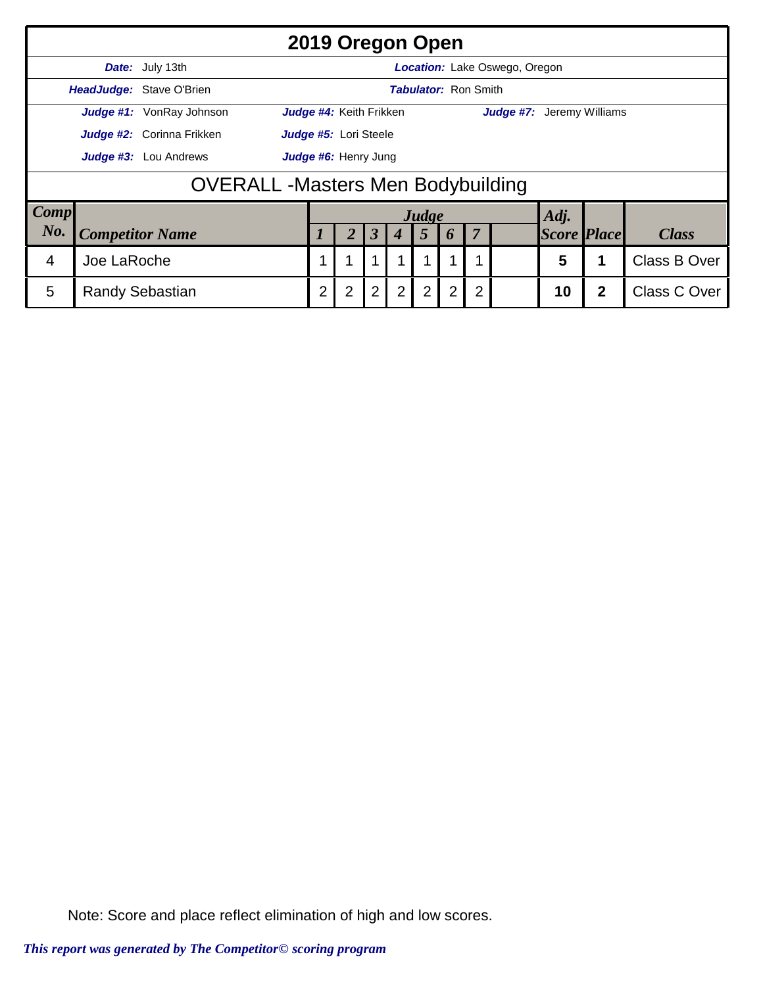|                  | 2019 Oregon Open                                               |                                                      |                                                             |                |                |                  |                |       |                    |              |              |      |  |              |
|------------------|----------------------------------------------------------------|------------------------------------------------------|-------------------------------------------------------------|----------------|----------------|------------------|----------------|-------|--------------------|--------------|--------------|------|--|--------------|
|                  | Date: July 13th<br><b>Location:</b> Lake Oswego, Oregon        |                                                      |                                                             |                |                |                  |                |       |                    |              |              |      |  |              |
|                  | <b>HeadJudge: Stave O'Brien</b><br><b>Tabulator: Ron Smith</b> |                                                      |                                                             |                |                |                  |                |       |                    |              |              |      |  |              |
|                  |                                                                | Judge #1: VonRay Johnson                             | Judge #4: Keith Frikken<br><b>Judge #7:</b> Jeremy Williams |                |                |                  |                |       |                    |              |              |      |  |              |
|                  |                                                                | Judge #2: Corinna Frikken                            | Judge #5: Lori Steele                                       |                |                |                  |                |       |                    |              |              |      |  |              |
|                  |                                                                | <b>Judge #3:</b> Lou Andrews<br>Judge #6: Henry Jung |                                                             |                |                |                  |                |       |                    |              |              |      |  |              |
|                  |                                                                | <b>OVERALL-Masters Men Bodybuilding</b>              |                                                             |                |                |                  |                |       |                    |              |              |      |  |              |
| <b>Comp</b>      |                                                                |                                                      |                                                             |                |                |                  |                | Judge |                    |              |              | Adj. |  |              |
| No.              |                                                                |                                                      | 3                                                           |                | 5              | $\boldsymbol{b}$ | $\overline{7}$ |       | <b>Score Place</b> |              | <b>Class</b> |      |  |              |
| Joe LaRoche<br>4 |                                                                |                                                      |                                                             |                |                |                  |                |       |                    | 1            |              | 5    |  | Class B Over |
| 5                | $\overline{2}$                                                 | $\overline{2}$                                       | $\overline{2}$                                              | $\overline{2}$ | $\overline{2}$ | 2                | $\overline{2}$ |       | 10                 | $\mathbf{2}$ | Class C Over |      |  |              |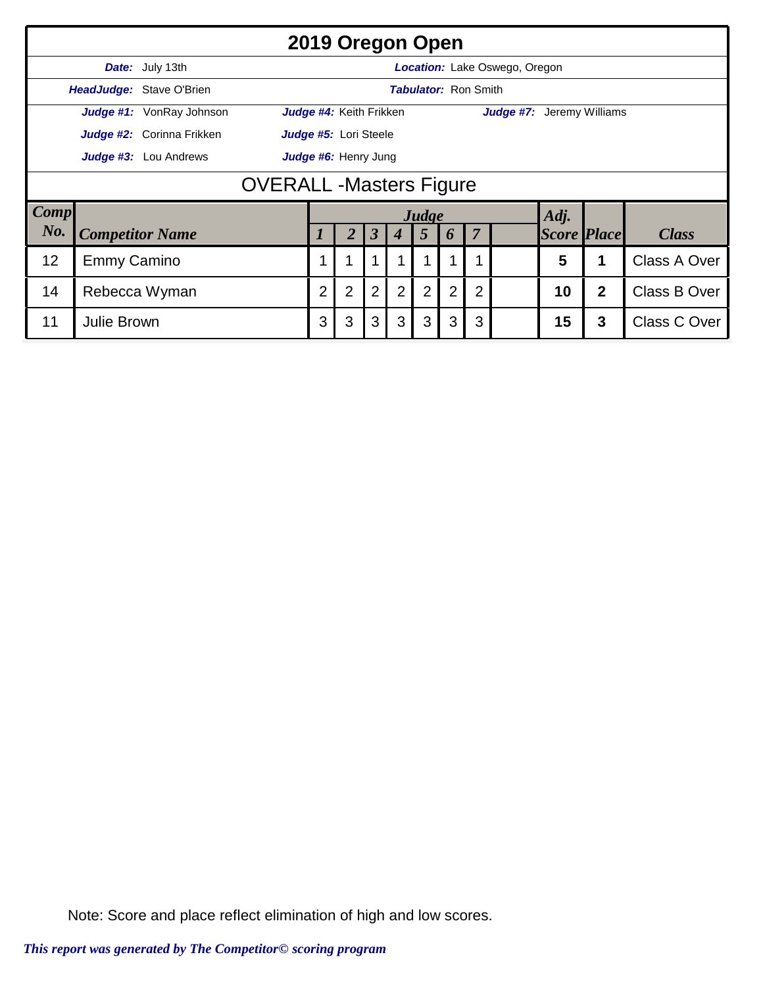|                                                                                         | 2019 Oregon Open                                        |                        |                |                |                |                         |                |       |    |                |              |                    |   |              |
|-----------------------------------------------------------------------------------------|---------------------------------------------------------|------------------------|----------------|----------------|----------------|-------------------------|----------------|-------|----|----------------|--------------|--------------------|---|--------------|
|                                                                                         | Date: July 13th<br><b>Location:</b> Lake Oswego, Oregon |                        |                |                |                |                         |                |       |    |                |              |                    |   |              |
|                                                                                         | HeadJudge: Stave O'Brien<br><b>Tabulator: Ron Smith</b> |                        |                |                |                |                         |                |       |    |                |              |                    |   |              |
| Judge #1: VonRay Johnson<br>Judge #4: Keith Frikken<br><b>Judge #7:</b> Jeremy Williams |                                                         |                        |                |                |                |                         |                |       |    |                |              |                    |   |              |
|                                                                                         | Judge #2: Corinna Frikken<br>Judge #5: Lori Steele      |                        |                |                |                |                         |                |       |    |                |              |                    |   |              |
| Judge #6: Henry Jung<br>Judge #3: Lou Andrews                                           |                                                         |                        |                |                |                |                         |                |       |    |                |              |                    |   |              |
|                                                                                         | <b>OVERALL -Masters Figure</b>                          |                        |                |                |                |                         |                |       |    |                |              |                    |   |              |
| Comp                                                                                    |                                                         |                        |                |                |                |                         |                | Judge |    |                |              | Adj.               |   |              |
| No.                                                                                     |                                                         | <b>Competitor Name</b> |                |                | 2              | $\overline{\mathbf{3}}$ | 4              | 5     | 6  | $\overline{7}$ |              | <b>Score Place</b> |   | <b>Class</b> |
| 12                                                                                      | 1                                                       | 1                      | 1              |                |                |                         |                |       | 5  |                | Class A Over |                    |   |              |
| 14                                                                                      | $\overline{2}$                                          | $\overline{2}$         | $\overline{2}$ | $\overline{2}$ | $\overline{2}$ | $\overline{2}$          | $\overline{2}$ |       | 10 | $\mathbf{2}$   | Class B Over |                    |   |              |
| 11<br><b>Julie Brown</b>                                                                |                                                         |                        |                |                | 3              | 3                       | 3              | 3     | 3  | 3              |              | 15                 | 3 | Class C Over |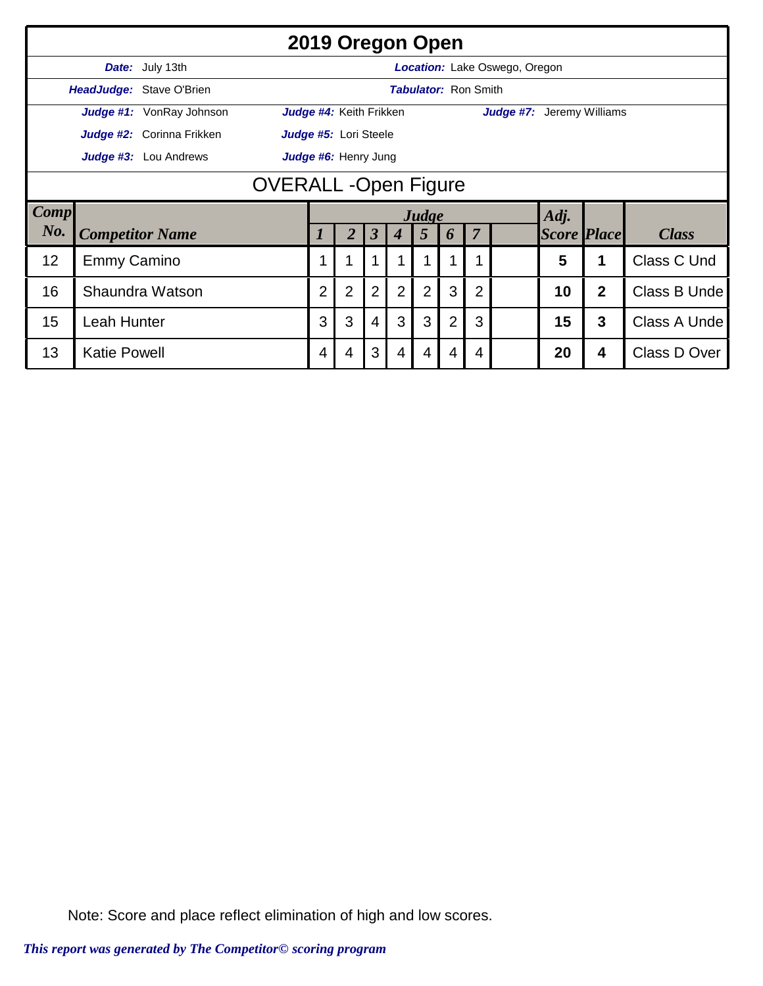|                   | 2019 Oregon Open                                        |                             |                      |                         |                      |                  |                |                |                |                                  |                    |   |              |
|-------------------|---------------------------------------------------------|-----------------------------|----------------------|-------------------------|----------------------|------------------|----------------|----------------|----------------|----------------------------------|--------------------|---|--------------|
|                   | Date: July 13th<br><b>Location:</b> Lake Oswego, Oregon |                             |                      |                         |                      |                  |                |                |                |                                  |                    |   |              |
|                   | HeadJudge: Stave O'Brien                                | <b>Tabulator: Ron Smith</b> |                      |                         |                      |                  |                |                |                |                                  |                    |   |              |
|                   |                                                         | Judge #1: VonRay Johnson    |                      | Judge #4: Keith Frikken |                      |                  |                |                |                | <b>Judge #7:</b> Jeremy Williams |                    |   |              |
|                   |                                                         | Judge #2: Corinna Frikken   |                      | Judge #5: Lori Steele   |                      |                  |                |                |                |                                  |                    |   |              |
|                   | Judge #3: Lou Andrews                                   |                             | Judge #6: Henry Jung |                         |                      |                  |                |                |                |                                  |                    |   |              |
|                   | <b>OVERALL-Open Figure</b>                              |                             |                      |                         |                      |                  |                |                |                |                                  |                    |   |              |
| Comp              |                                                         |                             |                      |                         |                      |                  | Judge          |                |                |                                  | Adj.               |   |              |
| No.               | <b>Competitor Name</b>                                  |                             |                      | $\overline{2}$          | $\boldsymbol{\beta}$ | $\boldsymbol{4}$ | 5              | 6              | $\overline{7}$ |                                  | <b>Score Place</b> |   | <b>Class</b> |
| 12                | <b>Emmy Camino</b>                                      |                             |                      | 1                       |                      |                  |                | 1              | 1              |                                  | 5                  | 1 | Class C Und  |
| 16                | $\overline{2}$                                          | $\overline{2}$              | $\overline{2}$       | $\overline{2}$          | 2                    | 3                | $\overline{2}$ |                | 10             | $\overline{2}$                   | Class B Unde       |   |              |
| 15<br>Leah Hunter |                                                         |                             |                      | 3                       | $\overline{4}$       | 3                | 3              | $\overline{2}$ | 3              |                                  | 15                 | 3 | Class A Unde |
| 13                | <b>Katie Powell</b>                                     |                             | 4                    | 4                       | 3                    | 4                | 4              | 4              | $\overline{4}$ |                                  | 20                 | 4 | Class D Over |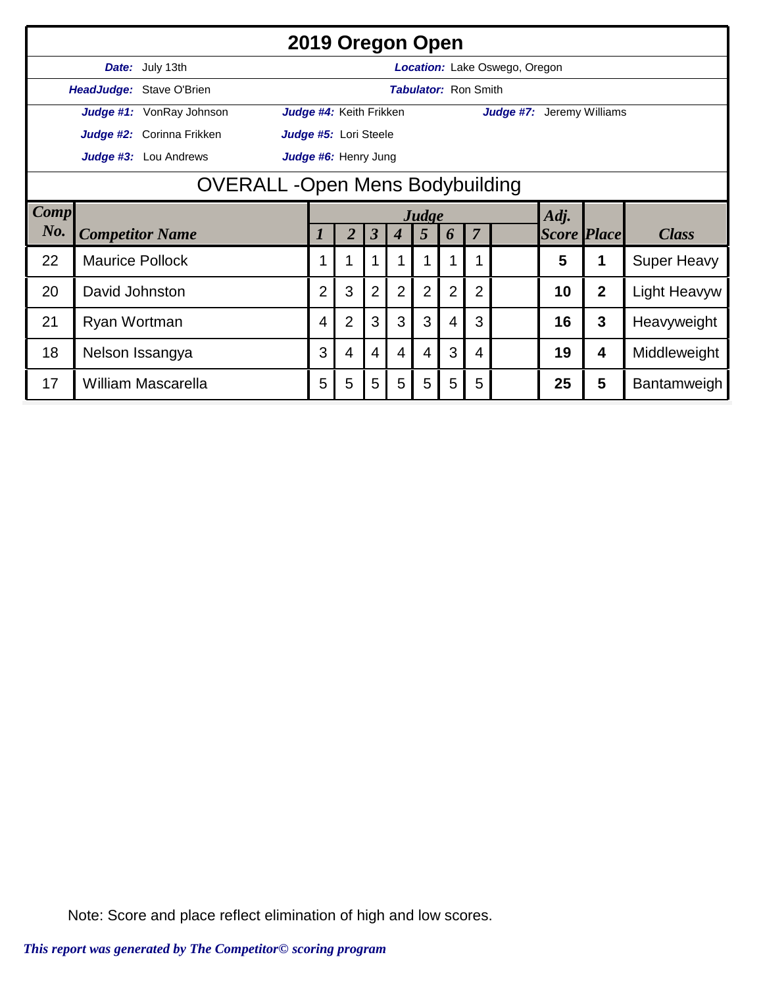|                                       | 2019 Oregon Open       |                           |  |                       |                                                             |                      |                  |                |                |                |                                      |                    |                |                     |  |
|---------------------------------------|------------------------|---------------------------|--|-----------------------|-------------------------------------------------------------|----------------------|------------------|----------------|----------------|----------------|--------------------------------------|--------------------|----------------|---------------------|--|
|                                       |                        | Date: July 13th           |  |                       |                                                             |                      |                  |                |                |                | <b>Location:</b> Lake Oswego, Oregon |                    |                |                     |  |
| HeadJudge: Stave O'Brien              |                        |                           |  |                       | <b>Tabulator: Ron Smith</b>                                 |                      |                  |                |                |                |                                      |                    |                |                     |  |
| Judge #1: VonRay Johnson              |                        |                           |  |                       | Judge #4: Keith Frikken<br><b>Judge #7:</b> Jeremy Williams |                      |                  |                |                |                |                                      |                    |                |                     |  |
|                                       |                        | Judge #2: Corinna Frikken |  | Judge #5: Lori Steele |                                                             |                      |                  |                |                |                |                                      |                    |                |                     |  |
| Judge #3: Lou Andrews                 |                        |                           |  |                       | Judge #6: Henry Jung                                        |                      |                  |                |                |                |                                      |                    |                |                     |  |
| <b>OVERALL-Open Mens Bodybuilding</b> |                        |                           |  |                       |                                                             |                      |                  |                |                |                |                                      |                    |                |                     |  |
| <b>Comp</b>                           |                        |                           |  |                       |                                                             |                      |                  | Judge          |                |                |                                      | Adj.               |                |                     |  |
| $N0$ .                                |                        | <b>Competitor Name</b>    |  |                       | 2                                                           | $\boldsymbol{\beta}$ | $\boldsymbol{4}$ | 5              | 6              | $\overline{7}$ |                                      | <b>Score Place</b> |                | <b>Class</b>        |  |
| 22                                    | <b>Maurice Pollock</b> |                           |  |                       | 1                                                           |                      |                  |                | 1              | 1              |                                      | 5                  | 1              | <b>Super Heavy</b>  |  |
| 20                                    | David Johnston         |                           |  |                       |                                                             | $\overline{2}$       | $\overline{2}$   | $\overline{2}$ | $\overline{2}$ | $\overline{2}$ |                                      | 10                 | $\overline{2}$ | <b>Light Heavyw</b> |  |
| 21<br>Ryan Wortman                    |                        |                           |  | 4                     | $\overline{2}$                                              | 3                    | 3                | 3              | 4              | 3              |                                      | 16                 | 3              | Heavyweight         |  |
| 18<br>Nelson Issangya                 |                        |                           |  | 3                     | 4                                                           | $\overline{4}$       | 4                | 4              | 3              | 4              |                                      | 19                 | 4              | Middleweight        |  |
| 17                                    |                        | William Mascarella        |  | 5                     | 5                                                           | 5                    | 5                | 5              | 5              | 5              |                                      | 25                 | 5              | Bantamweigh         |  |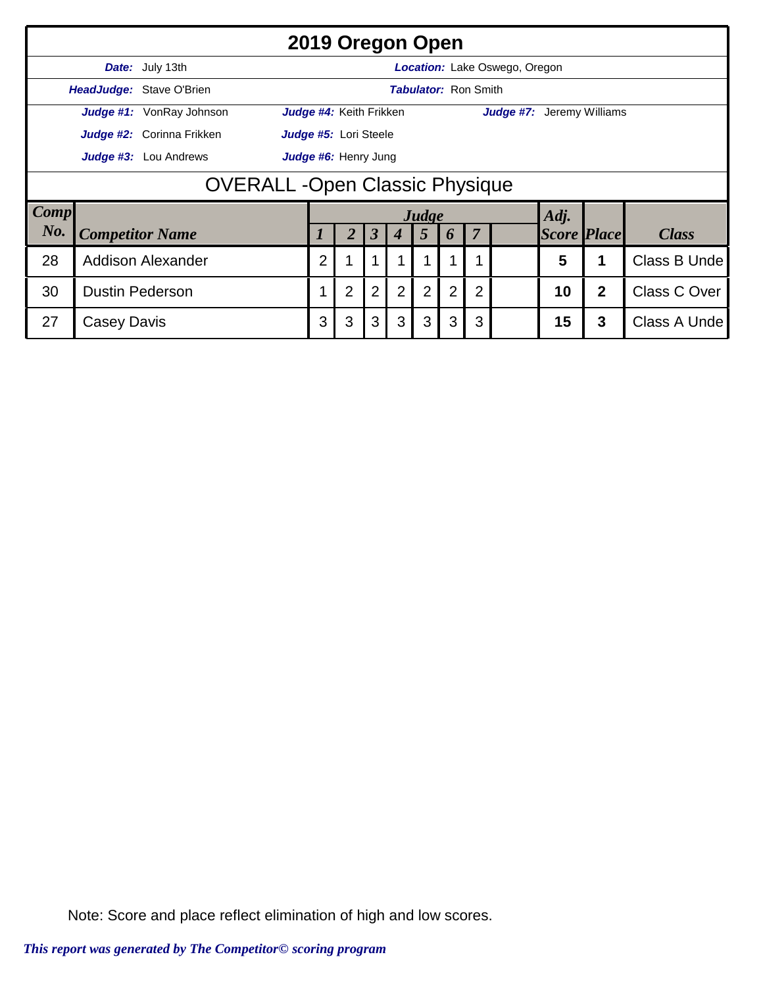|                                                      | 2019 Oregon Open                                               |                           |                                                             |   |                         |                |                |   |                |              |                    |              |              |  |
|------------------------------------------------------|----------------------------------------------------------------|---------------------------|-------------------------------------------------------------|---|-------------------------|----------------|----------------|---|----------------|--------------|--------------------|--------------|--------------|--|
|                                                      | Date: July 13th<br>Location: Lake Oswego, Oregon               |                           |                                                             |   |                         |                |                |   |                |              |                    |              |              |  |
|                                                      | <b>HeadJudge: Stave O'Brien</b><br><b>Tabulator: Ron Smith</b> |                           |                                                             |   |                         |                |                |   |                |              |                    |              |              |  |
|                                                      |                                                                | Judge #1: VonRay Johnson  | <b>Judge #7:</b> Jeremy Williams<br>Judge #4: Keith Frikken |   |                         |                |                |   |                |              |                    |              |              |  |
|                                                      |                                                                | Judge #2: Corinna Frikken | Judge #5: Lori Steele                                       |   |                         |                |                |   |                |              |                    |              |              |  |
| Judge #6: Henry Jung<br><b>Judge #3:</b> Lou Andrews |                                                                |                           |                                                             |   |                         |                |                |   |                |              |                    |              |              |  |
|                                                      | <b>OVERALL-Open Classic Physique</b>                           |                           |                                                             |   |                         |                |                |   |                |              |                    |              |              |  |
| <b>Comp</b>                                          |                                                                |                           |                                                             |   |                         |                | Judge          |   |                |              | Adj.               |              |              |  |
| No.                                                  |                                                                | <b>Competitor Name</b>    |                                                             |   | $\overline{\mathbf{3}}$ | 4              | $\overline{5}$ | 6 | $\overline{7}$ |              | <b>Score Place</b> |              | <b>Class</b> |  |
| 28                                                   | <b>Addison Alexander</b>                                       | $\overline{2}$            |                                                             |   |                         |                |                |   |                | 5            |                    | Class B Unde |              |  |
| 30                                                   | 1                                                              | $\overline{2}$            | $\overline{2}$                                              | 2 | 2                       | $\overline{2}$ | $\overline{2}$ |   | 10             | $\mathbf{2}$ | Class C Over       |              |              |  |
| 27                                                   | 3                                                              | 3                         | 3                                                           | 3 | 3                       | 3              | 3              |   | 15             | 3            | Class A Unde       |              |              |  |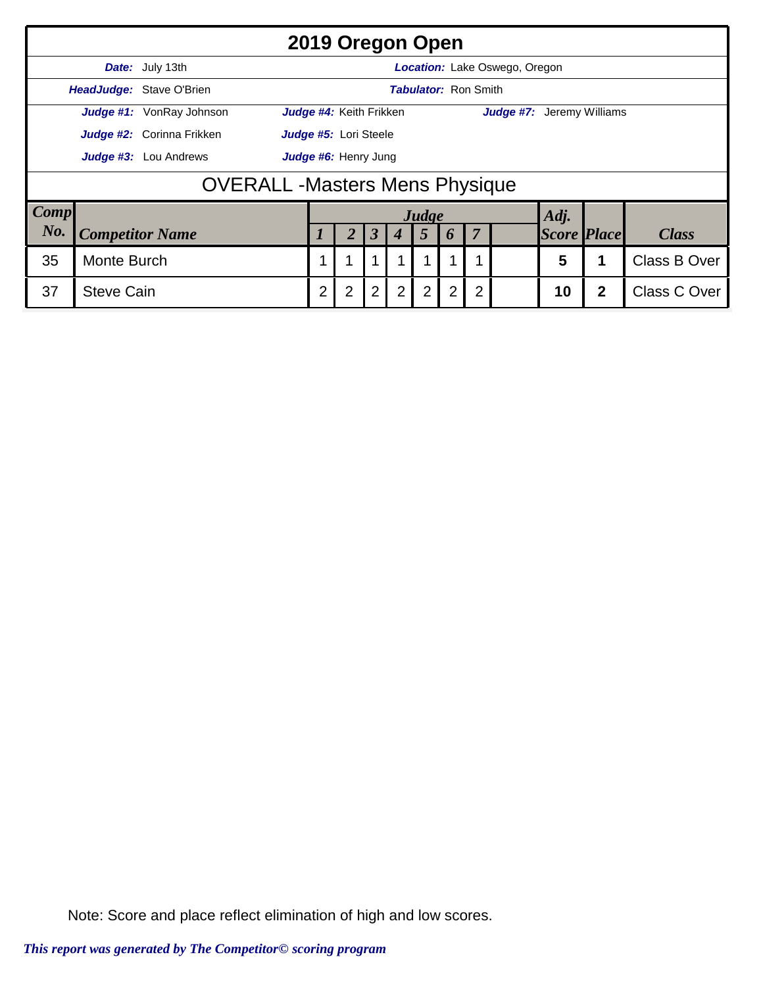|                                                      | 2019 Oregon Open                                               |                                        |                                                             |                |   |   |                |                  |    |              |                    |      |              |  |
|------------------------------------------------------|----------------------------------------------------------------|----------------------------------------|-------------------------------------------------------------|----------------|---|---|----------------|------------------|----|--------------|--------------------|------|--------------|--|
|                                                      | Date: July 13th<br>Location: Lake Oswego, Oregon               |                                        |                                                             |                |   |   |                |                  |    |              |                    |      |              |  |
|                                                      | <b>HeadJudge: Stave O'Brien</b><br><b>Tabulator: Ron Smith</b> |                                        |                                                             |                |   |   |                |                  |    |              |                    |      |              |  |
|                                                      |                                                                | Judge #1: VonRay Johnson               | Judge #4: Keith Frikken<br><b>Judge #7:</b> Jeremy Williams |                |   |   |                |                  |    |              |                    |      |              |  |
|                                                      |                                                                | Judge #2: Corinna Frikken              | Judge #5: Lori Steele                                       |                |   |   |                |                  |    |              |                    |      |              |  |
| Judge #6: Henry Jung<br><b>Judge #3:</b> Lou Andrews |                                                                |                                        |                                                             |                |   |   |                |                  |    |              |                    |      |              |  |
|                                                      |                                                                | <b>OVERALL</b> - Masters Mens Physique |                                                             |                |   |   |                |                  |    |              |                    |      |              |  |
| <b>Comp</b>                                          |                                                                |                                        |                                                             |                |   |   |                | Judge            |    |              |                    | Adj. |              |  |
| No.                                                  | <b>Competitor Name</b>                                         |                                        |                                                             |                | 3 |   | 5              | $\boldsymbol{p}$ | 7  |              | <b>Score Place</b> |      | <b>Class</b> |  |
| 35                                                   |                                                                |                                        |                                                             |                |   |   | 1              |                  | 5  |              | Class B Over       |      |              |  |
| 37                                                   | $\overline{2}$                                                 | $\overline{2}$                         | $\overline{2}$                                              | $\overline{2}$ | 2 | 2 | $\overline{2}$ |                  | 10 | $\mathbf{2}$ | Class C Over       |      |              |  |